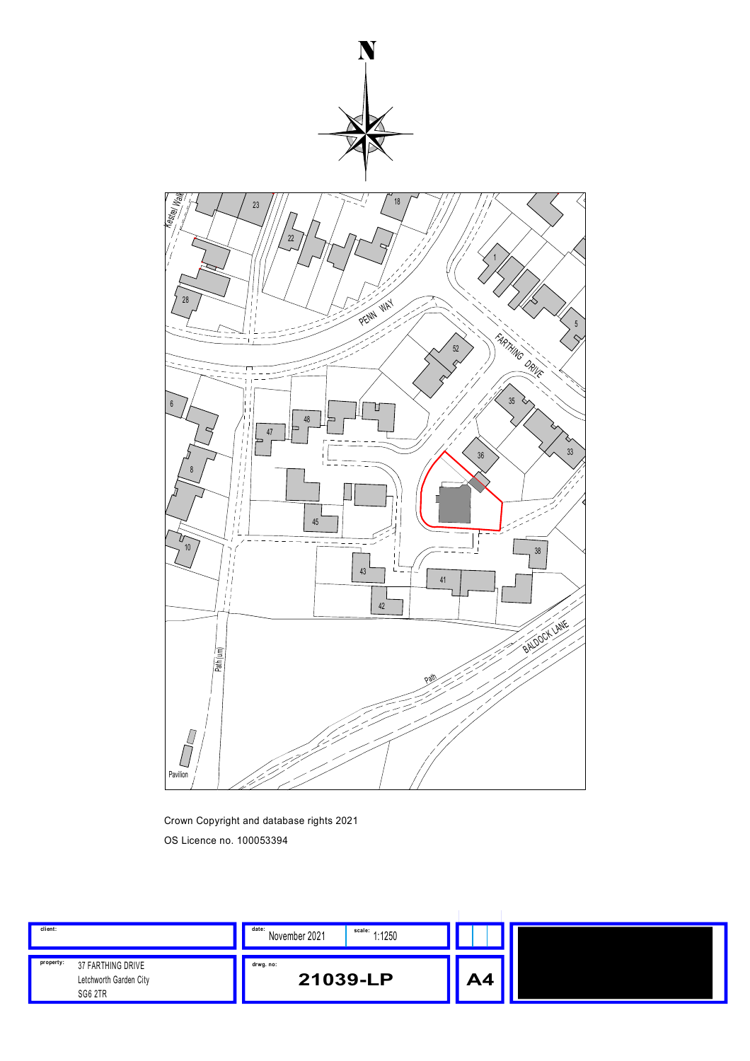

Crown Copyright and database rights 2021 OS Licence no. 100053394

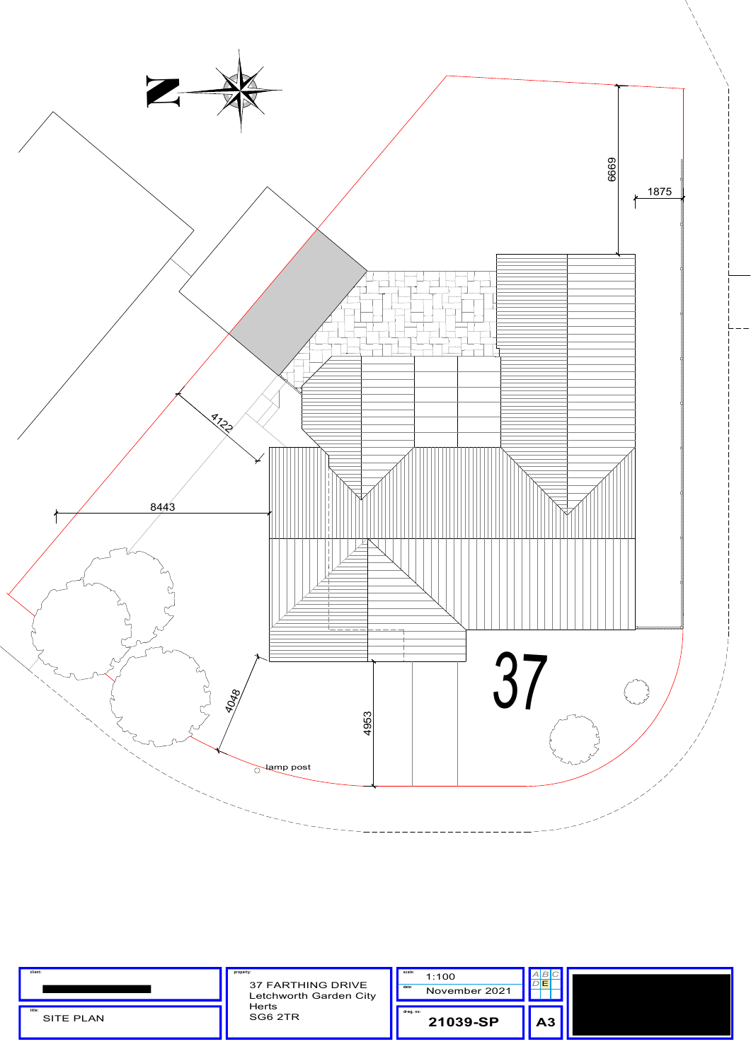| client:                    | property:<br><b>37 FARTHING DRIVE</b><br>Letchworth Garden City<br><b>Herts</b><br>SG6 2TR | scale:<br>1:100<br>date:<br>November 2021 | $D$ E |  |
|----------------------------|--------------------------------------------------------------------------------------------|-------------------------------------------|-------|--|
| title:<br><b>SITE PLAN</b> |                                                                                            | drwg.no:<br>21039-SP                      | A3    |  |

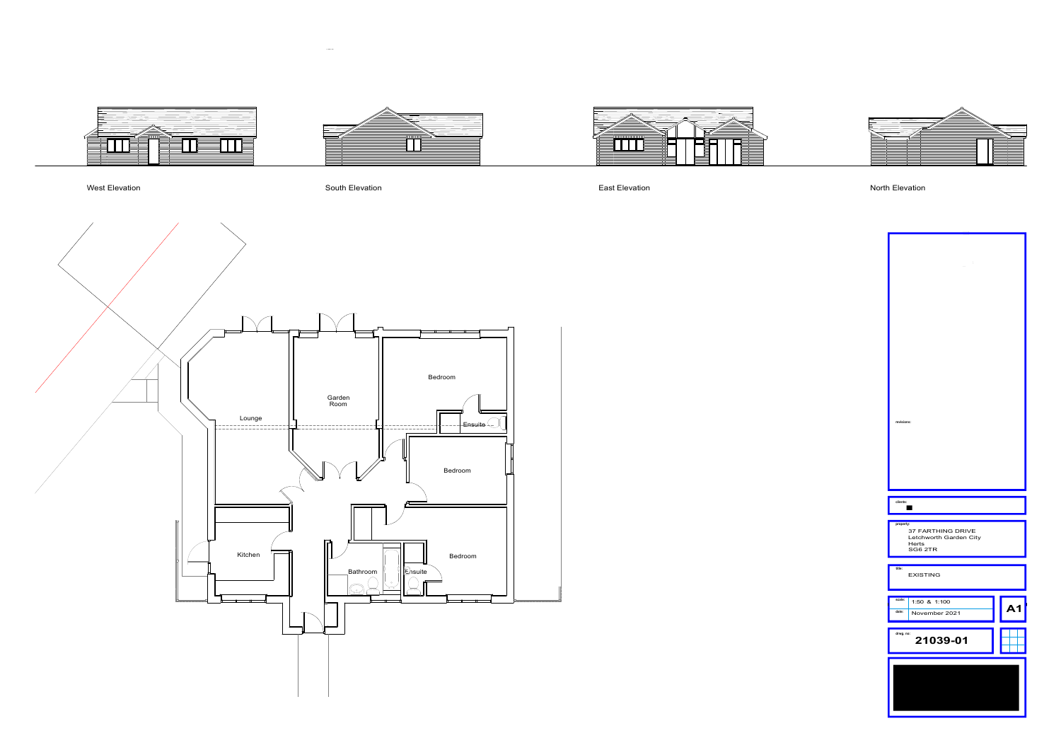



 $\sim 10^{-5}$ 





## West Elevation

 $\overline{\phantom{a}}$